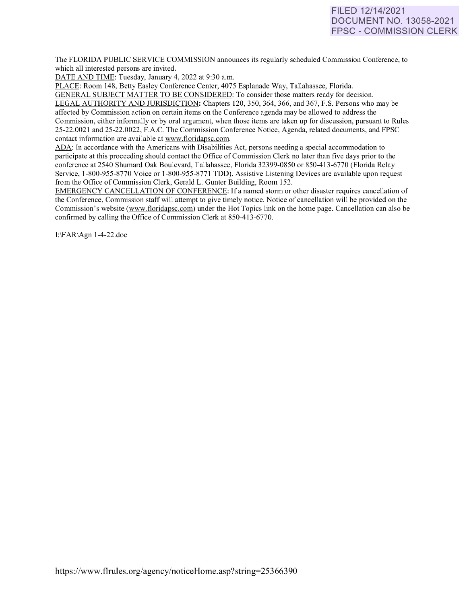# FILED 12/14/2021 DOCUMENT NO. 13058-2021 FPSC - COMMISSION CLERK

The FLORIDA PUBLIC SERVICE COMMISSION announces its regularly scheduled Commission Conference, to which all interested persons are invited.

DATE AND TIME: Tuesday, January 4, 2022 at 9:30 a.m.

PLACE: Room 148, Betty Easley Conference Center, 4075 Esplanade Way, Tallahassee, Florida.

GENERAL SUBJECT MATTER TO BE CONSIDERED: To consider those matters ready for decision. LEGAL AUTHORITY AND JURISDICTION: Chapters 120, 350, 364, 366, and 367, F.S. Persons who may be affected by Commission action on certain items on the Conference agenda may be allowed to address the Commission, either informally or by oral argument, when those items are taken up for discussion, pursuant to Rules 25-22.0021 and 25-22.0022, F.A.C. The Commission Conference Notice, Agenda, related documents, and FPSC contact information are available at [www.floridapsc.com.](http://www.floridapsc.com/)

ADA: In accordance with the Americans with Disabilities Act, persons needing a special accommodation to participate at this proceeding should contact the Office of Commission Clerk no later than five days prior to the conference at 2540 Shumard Oak Boulevard, Tallahassee, Florida 32399-0850 or 850-41 3-6770 (Florida Relay Service, 1-800-955-8770 Voice or 1-800-955-8771 TDD). Assistive Listening Devices are available upon request from the Office of Commission Clerk, Gerald L. Gunter Building, Room 152.

EMERGENCY CANCELLATION OF CONFERENCE: If a named storm or other disaster requires cancellation of the Conference, Commission staff will attempt to give timely notice. Notice of cancellation will be provided on the Commission's website [\(www.floridapsc.com\)](http://www.floridapsc.com/) under the Hot Topics link on the home page. Cancellation can also be confirmed by calling the Office of Commission Clerk at 850-413-6770.

I:\FAR\Agn 1-4-22.doc